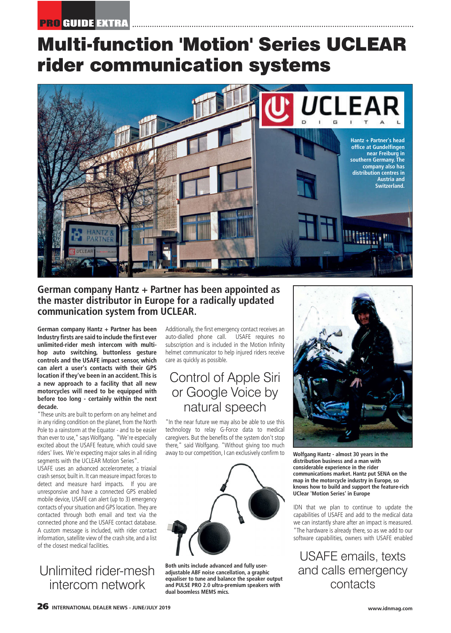# **Multi-function 'Motion' Series UCLEAR rider communication systems**



#### **German company Hantz + Partner has been appointed as the master distributor in Europe for a radically updated communication system from UCLEAR.**

**German company Hantz + Partner has been Industry firsts are said to include the first ever unlimited-rider mesh intercom with multihop auto switching, buttonless gesture controls and the USAFE impact sensor, which can alert a user's contacts with their GPS location if they've been in an accident. This is a new approach to a facility that all new motorcycles will need to be equipped with before too long - certainly within the next decade.** 

"These units are built to perform on any helmet and in any riding condition on the planet, from the North Pole to a rainstorm at the Equator - and to be easier than ever to use," says Wolfgang. "We're especially excited about the USAFE feature, which could save riders' lives. We're expecting major sales in all riding segments with the UCLEAR Motion Series".

USAFE uses an advanced accelerometer, a triaxial crash sensor, built in. It can measure impact forces to detect and measure hard impacts. If you are unresponsive and have a connected GPS enabled mobile device, USAFE can alert (up to 3) emergency contacts of your situation and GPS location. They are contacted through both email and text via the connected phone and the USAFE contact database. A custom message is included, with rider contact information, satellite view of the crash site, and a list of the closest medical facilities.

# Unlimited rider-mesh intercom network

Additionally, the first emergency contact receives an auto-dialled phone call. USAFE requires no subscription and is included in the Motion Infinity helmet communicator to help injured riders receive care as quickly as possible.

## Control of Apple Siri or Google Voice by natural speech

"In the near future we may also be able to use this technology to relay G-Force data to medical caregivers. But the benefits of the system don't stop there," said Wolfgang. "Without giving too much away to our competition, I can exclusively confirm to



**Both units include advanced and fully useradjustable ABF noise cancellation, a graphic equaliser to tune and balance the speaker output and PULSE PRO 2.0 ultra-premium speakers with dual boomless MEMS mics.**



**Wolfgang Hantz - almost 30 years in the distribution business and a man with considerable experience in the rider communications market. Hantz put SENA on the map in the motorcycle industry in Europe, so knows how to build and support the feature-rich UClear 'Motion Series' in Europe**

IDN that we plan to continue to update the capabilities of USAFE and add to the medical data we can instantly share after an impact is measured. "The hardware is already there, so as we add to our software capabilities, owners with USAFE enabled

USAFE emails, texts and calls emergency contacts